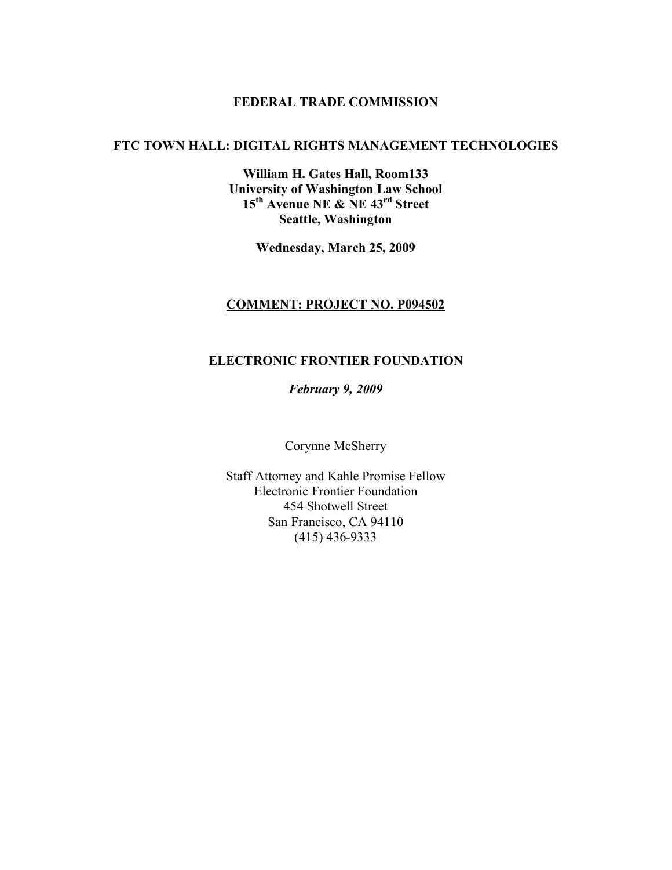#### **FEDERAL TRADE COMMISSION**

#### **FTC TOWN HALL: DIGITAL RIGHTS MANAGEMENT TECHNOLOGIES**

**William H. Gates Hall, Room133 University of Washington Law School 15th Avenue NE & NE 43rd Street Seattle, Washington**

**Wednesday, March 25, 2009**

#### **COMMENT: PROJECT NO. P094502**

#### **ELECTRONIC FRONTIER FOUNDATION**

*February 9, 2009*

Corynne McSherry

Staff Attorney and Kahle Promise Fellow Electronic Frontier Foundation 454 Shotwell Street San Francisco, CA 94110 (415) 436-9333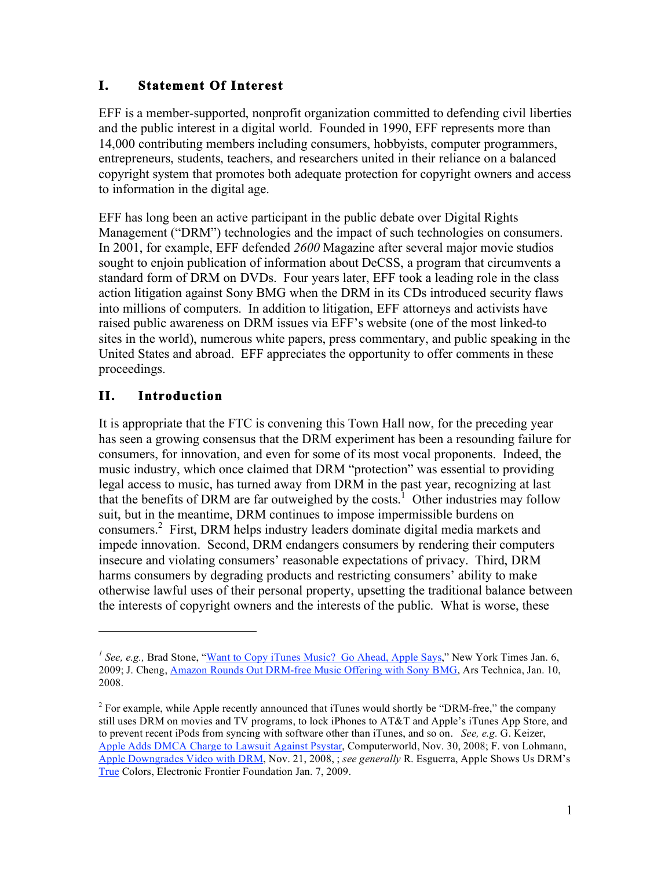#### **I. Statement Of Interest**

EFF is a member-supported, nonprofit organization committed to defending civil liberties and the public interest in a digital world. Founded in 1990, EFF represents more than 14,000 contributing members including consumers, hobbyists, computer programmers, entrepreneurs, students, teachers, and researchers united in their reliance on a balanced copyright system that promotes both adequate protection for copyright owners and access to information in the digital age.

EFF has long been an active participant in the public debate over Digital Rights Management ("DRM") technologies and the impact of such technologies on consumers. In 2001, for example, EFF defended *2600* Magazine after several major movie studios sought to enjoin publication of information about DeCSS, a program that circumvents a standard form of DRM on DVDs. Four years later, EFF took a leading role in the class action litigation against Sony BMG when the DRM in its CDs introduced security flaws into millions of computers. In addition to litigation, EFF attorneys and activists have raised public awareness on DRM issues via EFF's website (one of the most linked-to sites in the world), numerous white papers, press commentary, and public speaking in the United States and abroad. EFF appreciates the opportunity to offer comments in these proceedings.

### **II. Introduction**

 $\overline{a}$ 

It is appropriate that the FTC is convening this Town Hall now, for the preceding year has seen a growing consensus that the DRM experiment has been a resounding failure for consumers, for innovation, and even for some of its most vocal proponents. Indeed, the music industry, which once claimed that DRM "protection" was essential to providing legal access to music, has turned away from DRM in the past year, recognizing at last that the benefits of DRM are far outweighed by the costs.<sup>1</sup> Other industries may follow suit, but in the meantime, DRM continues to impose impermissible burdens on consumers.<sup>2</sup> First, DRM helps industry leaders dominate digital media markets and impede innovation. Second, DRM endangers consumers by rendering their computers insecure and violating consumers' reasonable expectations of privacy. Third, DRM harms consumers by degrading products and restricting consumers' ability to make otherwise lawful uses of their personal property, upsetting the traditional balance between the interests of copyright owners and the interests of the public. What is worse, these

<sup>&</sup>lt;sup>1</sup> See, e.g., Brad Stone, "Want to Copy iTunes Music? Go Ahead, Apple Says," New York Times Jan. 6, 2009; J. Cheng, Amazon Rounds Out DRM-free Music Offering with Sony BMG, Ars Technica, Jan. 10, 2008.

 $2$  For example, while Apple recently announced that iTunes would shortly be "DRM-free," the company still uses DRM on movies and TV programs, to lock iPhones to AT&T and Apple's iTunes App Store, and to prevent recent iPods from syncing with software other than iTunes, and so on. *See, e.g.* G. Keizer, Apple Adds DMCA Charge to Lawsuit Against Psystar, Computerworld, Nov. 30, 2008; F. von Lohmann, Apple Downgrades Video with DRM, Nov. 21, 2008, ; *see generally* R. Esguerra, Apple Shows Us DRM's True Colors, Electronic Frontier Foundation Jan. 7, 2009.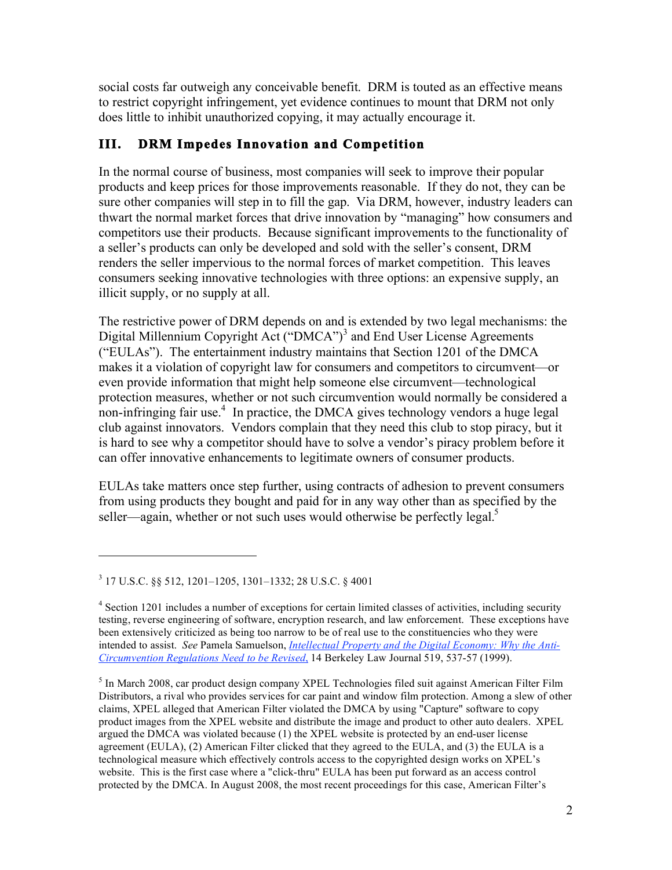social costs far outweigh any conceivable benefit. DRM is touted as an effective means to restrict copyright infringement, yet evidence continues to mount that DRM not only does little to inhibit unauthorized copying, it may actually encourage it.

## **III. DRM Impedes Innovation and Competition**

In the normal course of business, most companies will seek to improve their popular products and keep prices for those improvements reasonable. If they do not, they can be sure other companies will step in to fill the gap. Via DRM, however, industry leaders can thwart the normal market forces that drive innovation by "managing" how consumers and competitors use their products. Because significant improvements to the functionality of a seller's products can only be developed and sold with the seller's consent, DRM renders the seller impervious to the normal forces of market competition. This leaves consumers seeking innovative technologies with three options: an expensive supply, an illicit supply, or no supply at all.

The restrictive power of DRM depends on and is extended by two legal mechanisms: the Digital Millennium Copyright Act ("DMCA")<sup>3</sup> and End User License Agreements ("EULAs"). The entertainment industry maintains that Section 1201 of the DMCA makes it a violation of copyright law for consumers and competitors to circumvent—or even provide information that might help someone else circumvent—technological protection measures, whether or not such circumvention would normally be considered a non-infringing fair use. $4\,$  In practice, the DMCA gives technology vendors a huge legal club against innovators. Vendors complain that they need this club to stop piracy, but it is hard to see why a competitor should have to solve a vendor's piracy problem before it can offer innovative enhancements to legitimate owners of consumer products.

EULAs take matters once step further, using contracts of adhesion to prevent consumers from using products they bought and paid for in any way other than as specified by the seller—again, whether or not such uses would otherwise be perfectly legal. $5$ 

<sup>3</sup> 17 U.S.C. §§ 512, 1201–1205, 1301–1332; 28 U.S.C. § 4001

<sup>&</sup>lt;sup>4</sup> Section 1201 includes a number of exceptions for certain limited classes of activities, including security testing, reverse engineering of software, encryption research, and law enforcement. These exceptions have been extensively criticized as being too narrow to be of real use to the constituencies who they were intended to assist. *See* Pamela Samuelson, *Intellectual Property and the Digital Economy: Why the Anti-Circumvention Regulations Need to be Revised*, 14 Berkeley Law Journal 519, 537-57 (1999).

<sup>&</sup>lt;sup>5</sup> In March 2008, car product design company XPEL Technologies filed suit against American Filter Film Distributors, a rival who provides services for car paint and window film protection. Among a slew of other claims, XPEL alleged that American Filter violated the DMCA by using "Capture" software to copy product images from the XPEL website and distribute the image and product to other auto dealers. XPEL argued the DMCA was violated because (1) the XPEL website is protected by an end-user license agreement (EULA), (2) American Filter clicked that they agreed to the EULA, and (3) the EULA is a technological measure which effectively controls access to the copyrighted design works on XPEL's website. This is the first case where a "click-thru" EULA has been put forward as an access control protected by the DMCA. In August 2008, the most recent proceedings for this case, American Filter's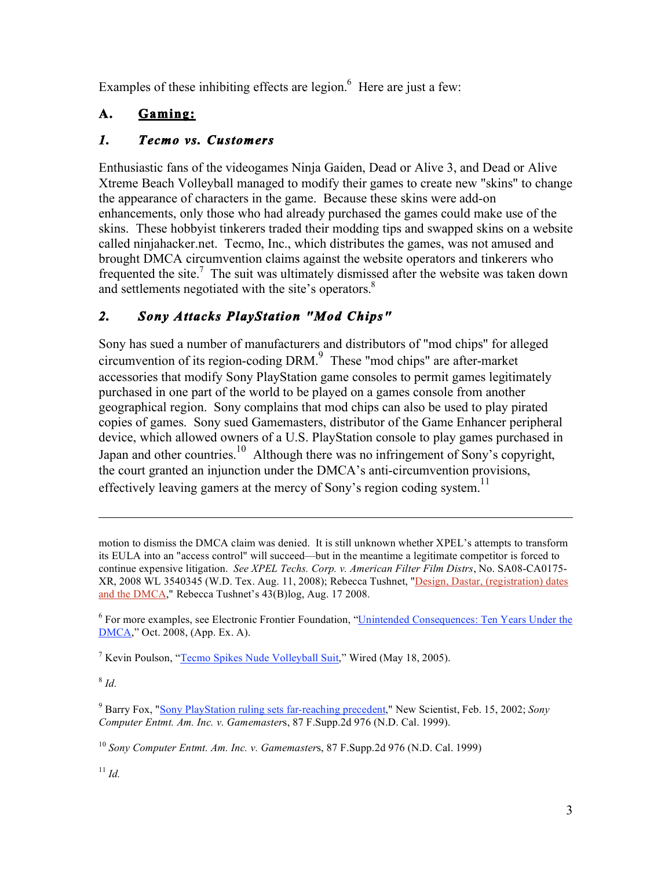Examples of these inhibiting effects are legion. $<sup>6</sup>$  Here are just a few:</sup>

# **A. Gaming:**

## *1. Tecmo vs. Customers*

Enthusiastic fans of the videogames Ninja Gaiden, Dead or Alive 3, and Dead or Alive Xtreme Beach Volleyball managed to modify their games to create new "skins" to change the appearance of characters in the game. Because these skins were add-on enhancements, only those who had already purchased the games could make use of the skins. These hobbyist tinkerers traded their modding tips and swapped skins on a website called ninjahacker.net. Tecmo, Inc., which distributes the games, was not amused and brought DMCA circumvention claims against the website operators and tinkerers who frequented the site.<sup>7</sup> The suit was ultimately dismissed after the website was taken down and settlements negotiated with the site's operators.<sup>8</sup>

## *2. Sony Attacks PlayStation "Mod Chips"*

Sony has sued a number of manufacturers and distributors of "mod chips" for alleged circumvention of its region-coding DRM. $<sup>9</sup>$  These "mod chips" are after-market</sup> accessories that modify Sony PlayStation game consoles to permit games legitimately purchased in one part of the world to be played on a games console from another geographical region. Sony complains that mod chips can also be used to play pirated copies of games. Sony sued Gamemasters, distributor of the Game Enhancer peripheral device, which allowed owners of a U.S. PlayStation console to play games purchased in Japan and other countries.<sup>10</sup> Although there was no infringement of Sony's copyright, the court granted an injunction under the DMCA's anti-circumvention provisions, effectively leaving gamers at the mercy of Sony's region coding system.<sup>11</sup>

<sup>8</sup> *Id.*

motion to dismiss the DMCA claim was denied. It is still unknown whether XPEL's attempts to transform its EULA into an "access control" will succeed—but in the meantime a legitimate competitor is forced to continue expensive litigation. *See XPEL Techs. Corp. v. American Filter Film Distrs*, No. SA08-CA0175- XR, 2008 WL 3540345 (W.D. Tex. Aug. 11, 2008); Rebecca Tushnet, "Design, Dastar, (registration) dates and the DMCA," Rebecca Tushnet's 43(B)log, Aug. 17 2008.

<sup>&</sup>lt;sup>6</sup> For more examples, see Electronic Frontier Foundation, "Unintended Consequences: Ten Years Under the DMCA," Oct. 2008, (App. Ex. A).

<sup>&</sup>lt;sup>7</sup> Kevin Poulson, "Tecmo Spikes Nude Volleyball Suit," Wired (May 18, 2005).

<sup>9</sup> Barry Fox, "Sony PlayStation ruling sets far-reaching precedent," New Scientist, Feb. 15, 2002; *Sony Computer Entmt. Am. Inc. v. Gamemaster*s, 87 F.Supp.2d 976 (N.D. Cal. 1999).

<sup>10</sup> *Sony Computer Entmt. Am. Inc. v. Gamemaster*s, 87 F.Supp.2d 976 (N.D. Cal. 1999)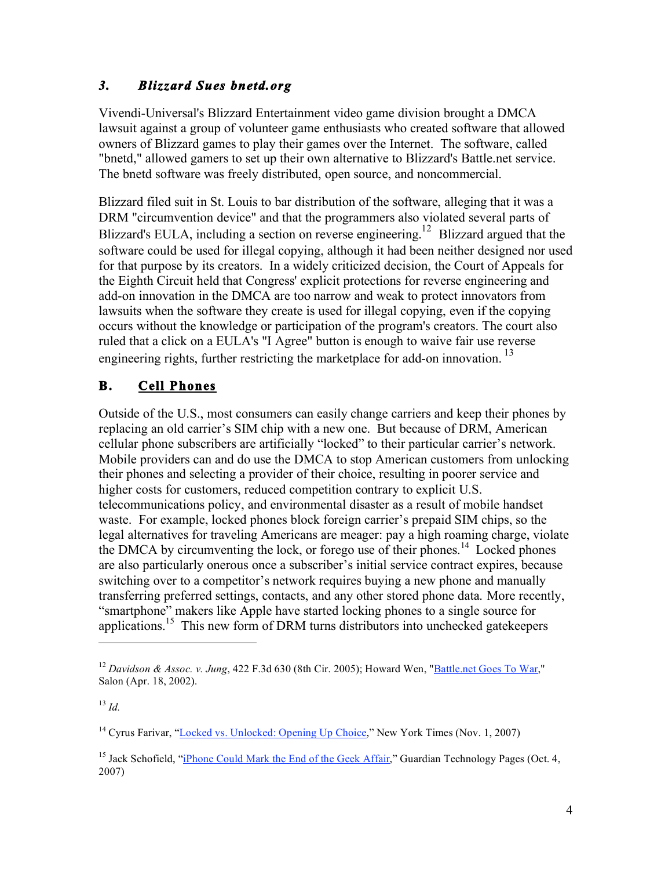#### *3. Blizzard Sues bnetd.org*

Vivendi-Universal's Blizzard Entertainment video game division brought a DMCA lawsuit against a group of volunteer game enthusiasts who created software that allowed owners of Blizzard games to play their games over the Internet. The software, called "bnetd," allowed gamers to set up their own alternative to Blizzard's Battle.net service. The bnetd software was freely distributed, open source, and noncommercial.

Blizzard filed suit in St. Louis to bar distribution of the software, alleging that it was a DRM "circumvention device" and that the programmers also violated several parts of Blizzard's EULA, including a section on reverse engineering.<sup>12</sup> Blizzard argued that the software could be used for illegal copying, although it had been neither designed nor used for that purpose by its creators. In a widely criticized decision, the Court of Appeals for the Eighth Circuit held that Congress' explicit protections for reverse engineering and add-on innovation in the DMCA are too narrow and weak to protect innovators from lawsuits when the software they create is used for illegal copying, even if the copying occurs without the knowledge or participation of the program's creators. The court also ruled that a click on a EULA's "I Agree" button is enough to waive fair use reverse engineering rights, further restricting the marketplace for add-on innovation.<sup>13</sup>

# **B. Cell Phones**

Outside of the U.S., most consumers can easily change carriers and keep their phones by replacing an old carrier's SIM chip with a new one. But because of DRM, American cellular phone subscribers are artificially "locked" to their particular carrier's network. Mobile providers can and do use the DMCA to stop American customers from unlocking their phones and selecting a provider of their choice, resulting in poorer service and higher costs for customers, reduced competition contrary to explicit U.S. telecommunications policy, and environmental disaster as a result of mobile handset waste. For example, locked phones block foreign carrier's prepaid SIM chips, so the legal alternatives for traveling Americans are meager: pay a high roaming charge, violate the DMCA by circumventing the lock, or forego use of their phones.<sup>14</sup> Locked phones are also particularly onerous once a subscriber's initial service contract expires, because switching over to a competitor's network requires buying a new phone and manually transferring preferred settings, contacts, and any other stored phone data. More recently, "smartphone" makers like Apple have started locking phones to a single source for applications.15 This new form of DRM turns distributors into unchecked gatekeepers

<sup>12</sup> *Davidson & Assoc. v. Jung*, 422 F.3d 630 (8th Cir. 2005); Howard Wen, "Battle.net Goes To War," Salon (Apr. 18, 2002).

<sup>13</sup> *Id.*

<sup>&</sup>lt;sup>14</sup> Cyrus Farivar, "Locked vs. Unlocked: Opening Up Choice," New York Times (Nov. 1, 2007)

<sup>&</sup>lt;sup>15</sup> Jack Schofield, "iPhone Could Mark the End of the Geek Affair," Guardian Technology Pages (Oct. 4, 2007)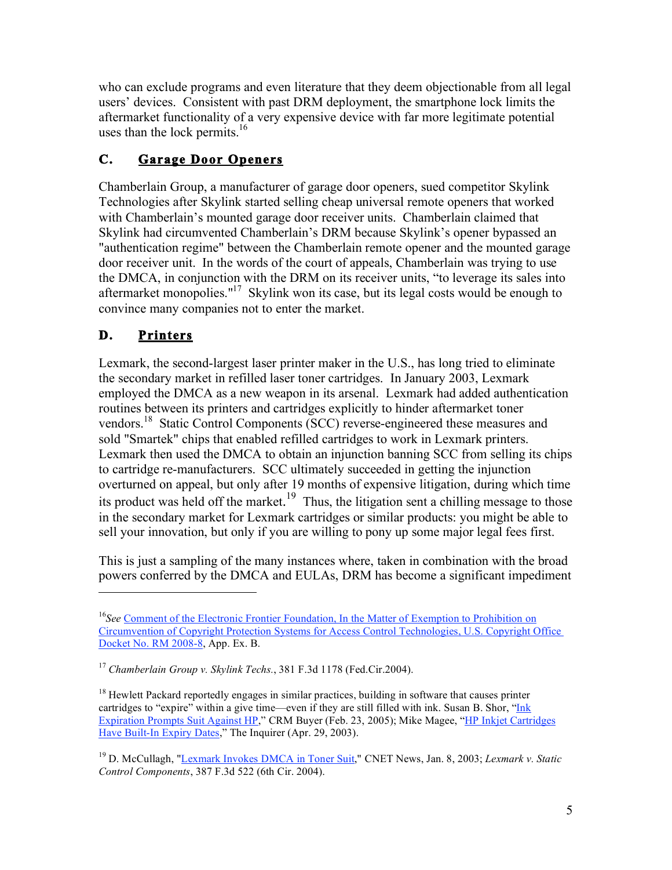who can exclude programs and even literature that they deem objectionable from all legal users' devices. Consistent with past DRM deployment, the smartphone lock limits the aftermarket functionality of a very expensive device with far more legitimate potential uses than the lock permits. $16$ 

# **C. Garage Door Openers**

Chamberlain Group, a manufacturer of garage door openers, sued competitor Skylink Technologies after Skylink started selling cheap universal remote openers that worked with Chamberlain's mounted garage door receiver units. Chamberlain claimed that Skylink had circumvented Chamberlain's DRM because Skylink's opener bypassed an "authentication regime" between the Chamberlain remote opener and the mounted garage door receiver unit. In the words of the court of appeals, Chamberlain was trying to use the DMCA, in conjunction with the DRM on its receiver units, "to leverage its sales into aftermarket monopolies."<sup>17</sup> Skylink won its case, but its legal costs would be enough to convince many companies not to enter the market.

# **D. Printers**

 $\overline{a}$ 

Lexmark, the second-largest laser printer maker in the U.S., has long tried to eliminate the secondary market in refilled laser toner cartridges. In January 2003, Lexmark employed the DMCA as a new weapon in its arsenal. Lexmark had added authentication routines between its printers and cartridges explicitly to hinder aftermarket toner vendors.18 Static Control Components (SCC) reverse-engineered these measures and sold "Smartek" chips that enabled refilled cartridges to work in Lexmark printers. Lexmark then used the DMCA to obtain an injunction banning SCC from selling its chips to cartridge re-manufacturers. SCC ultimately succeeded in getting the injunction overturned on appeal, but only after 19 months of expensive litigation, during which time its product was held off the market.<sup>19</sup> Thus, the litigation sent a chilling message to those in the secondary market for Lexmark cartridges or similar products: you might be able to sell your innovation, but only if you are willing to pony up some major legal fees first.

This is just a sampling of the many instances where, taken in combination with the broad powers conferred by the DMCA and EULAs, DRM has become a significant impediment

<sup>16</sup>*See* Comment of the Electronic Frontier Foundation, In the Matter of Exemption to Prohibition on Circumvention of Copyright Protection Systems for Access Control Technologies, U.S. Copyright Office Docket No. RM 2008-8, App. Ex. B.

<sup>17</sup> *Chamberlain Group v. Skylink Techs.*, 381 F.3d 1178 (Fed.Cir.2004).

 $18$  Hewlett Packard reportedly engages in similar practices, building in software that causes printer cartridges to "expire" within a give time—even if they are still filled with ink. Susan B. Shor, "Ink Expiration Prompts Suit Against HP," CRM Buyer (Feb. 23, 2005); Mike Magee, "HP Inkjet Cartridges Have Built-In Expiry Dates," The Inquirer (Apr. 29, 2003).

<sup>19</sup> D. McCullagh, "Lexmark Invokes DMCA in Toner Suit," CNET News, Jan. 8, 2003; *Lexmark v. Static Control Components*, 387 F.3d 522 (6th Cir. 2004).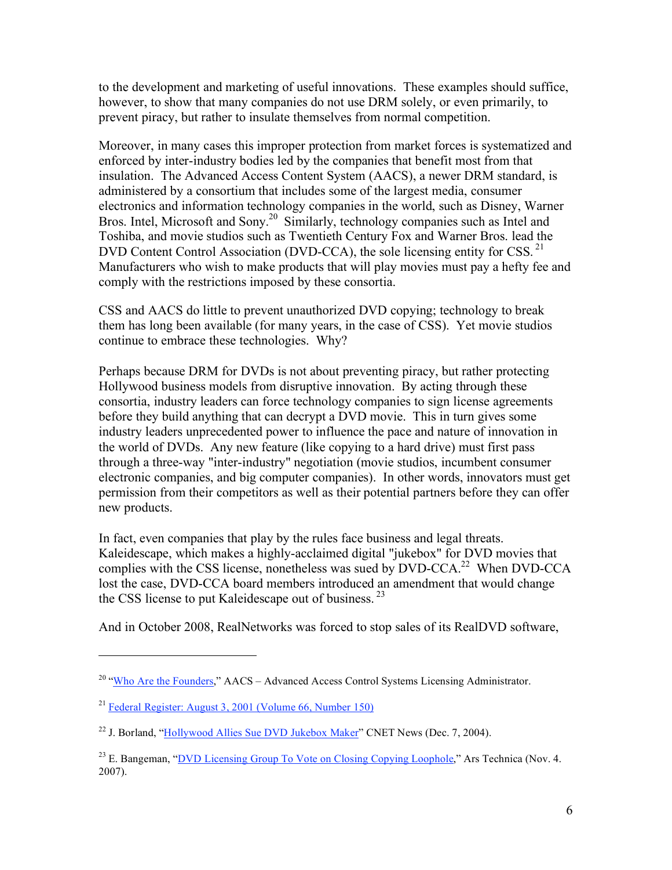to the development and marketing of useful innovations. These examples should suffice, however, to show that many companies do not use DRM solely, or even primarily, to prevent piracy, but rather to insulate themselves from normal competition.

Moreover, in many cases this improper protection from market forces is systematized and enforced by inter-industry bodies led by the companies that benefit most from that insulation. The Advanced Access Content System (AACS), a newer DRM standard, is administered by a consortium that includes some of the largest media, consumer electronics and information technology companies in the world, such as Disney, Warner Bros. Intel, Microsoft and Sony.<sup>20</sup> Similarly, technology companies such as Intel and Toshiba, and movie studios such as Twentieth Century Fox and Warner Bros. lead the DVD Content Control Association (DVD-CCA), the sole licensing entity for CSS.<sup>21</sup> Manufacturers who wish to make products that will play movies must pay a hefty fee and comply with the restrictions imposed by these consortia.

CSS and AACS do little to prevent unauthorized DVD copying; technology to break them has long been available (for many years, in the case of CSS). Yet movie studios continue to embrace these technologies. Why?

Perhaps because DRM for DVDs is not about preventing piracy, but rather protecting Hollywood business models from disruptive innovation. By acting through these consortia, industry leaders can force technology companies to sign license agreements before they build anything that can decrypt a DVD movie. This in turn gives some industry leaders unprecedented power to influence the pace and nature of innovation in the world of DVDs. Any new feature (like copying to a hard drive) must first pass through a three-way "inter-industry" negotiation (movie studios, incumbent consumer electronic companies, and big computer companies). In other words, innovators must get permission from their competitors as well as their potential partners before they can offer new products.

In fact, even companies that play by the rules face business and legal threats. Kaleidescape, which makes a highly-acclaimed digital "jukebox" for DVD movies that complies with the CSS license, nonetheless was sued by DVD-CCA.<sup>22</sup> When DVD-CCA lost the case, DVD-CCA board members introduced an amendment that would change the CSS license to put Kaleidescape out of business.<sup>23</sup>

And in October 2008, RealNetworks was forced to stop sales of its RealDVD software,

<sup>&</sup>lt;sup>20</sup> "Who Are the Founders," AACS – Advanced Access Control Systems Licensing Administrator.

<sup>21</sup> Federal Register: August 3, 2001 (Volume 66, Number 150)

<sup>&</sup>lt;sup>22</sup> J. Borland, "Hollywood Allies Sue DVD Jukebox Maker" CNET News (Dec. 7, 2004).

<sup>&</sup>lt;sup>23</sup> E. Bangeman, "DVD Licensing Group To Vote on Closing Copying Loophole," Ars Technica (Nov. 4. 2007).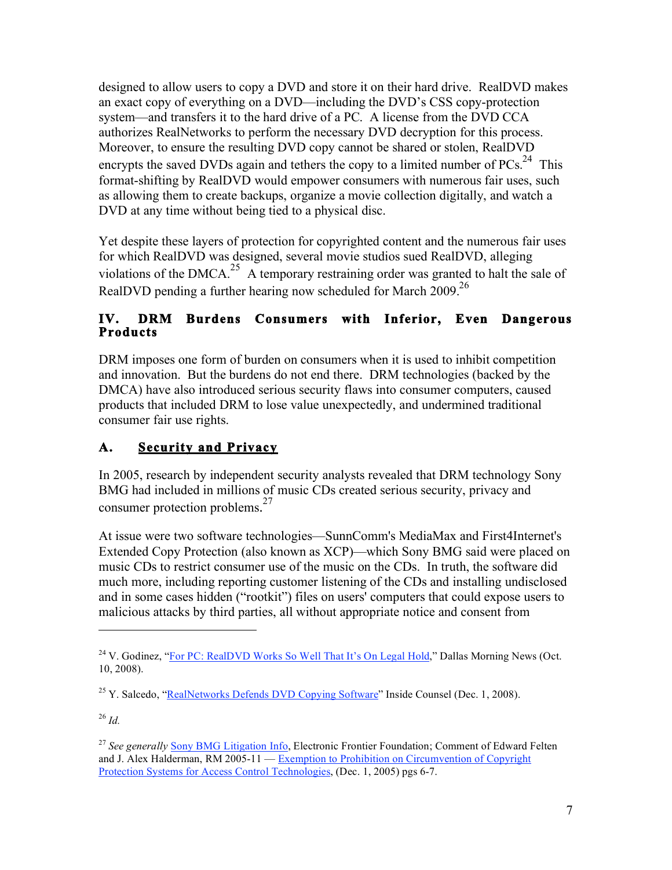designed to allow users to copy a DVD and store it on their hard drive. RealDVD makes an exact copy of everything on a DVD—including the DVD's CSS copy-protection system—and transfers it to the hard drive of a PC. A license from the DVD CCA authorizes RealNetworks to perform the necessary DVD decryption for this process. Moreover, to ensure the resulting DVD copy cannot be shared or stolen, RealDVD encrypts the saved DVDs again and tethers the copy to a limited number of  $PCs$ <sup>24</sup>. This format-shifting by RealDVD would empower consumers with numerous fair uses, such as allowing them to create backups, organize a movie collection digitally, and watch a DVD at any time without being tied to a physical disc.

Yet despite these layers of protection for copyrighted content and the numerous fair uses for which RealDVD was designed, several movie studios sued RealDVD, alleging violations of the DMCA.<sup>25</sup> A temporary restraining order was granted to halt the sale of RealDVD pending a further hearing now scheduled for March 2009.<sup>26</sup>

#### **IV. DRM Burdens Consumers with Inferior, Even Dangerous Products**

DRM imposes one form of burden on consumers when it is used to inhibit competition and innovation. But the burdens do not end there. DRM technologies (backed by the DMCA) have also introduced serious security flaws into consumer computers, caused products that included DRM to lose value unexpectedly, and undermined traditional consumer fair use rights.

# **A. Security and Privacy**

In 2005, research by independent security analysts revealed that DRM technology Sony BMG had included in millions of music CDs created serious security, privacy and consumer protection problems.<sup>27</sup>

At issue were two software technologies—SunnComm's MediaMax and First4Internet's Extended Copy Protection (also known as XCP)—which Sony BMG said were placed on music CDs to restrict consumer use of the music on the CDs. In truth, the software did much more, including reporting customer listening of the CDs and installing undisclosed and in some cases hidden ("rootkit") files on users' computers that could expose users to malicious attacks by third parties, all without appropriate notice and consent from

<sup>26</sup> *Id.*

<sup>&</sup>lt;sup>24</sup> V. Godinez. "For PC: RealDVD Works So Well That It's On Legal Hold," Dallas Morning News (Oct. 10, 2008).

 $^{25}$  Y. Salcedo, "RealNetworks Defends DVD Copying Software" Inside Counsel (Dec. 1, 2008).

<sup>&</sup>lt;sup>27</sup> See generally Sony BMG Litigation Info, Electronic Frontier Foundation; Comment of Edward Felten and J. Alex Halderman, RM 2005-11 — Exemption to Prohibition on Circumvention of Copyright Protection Systems for Access Control Technologies, (Dec. 1, 2005) pgs 6-7.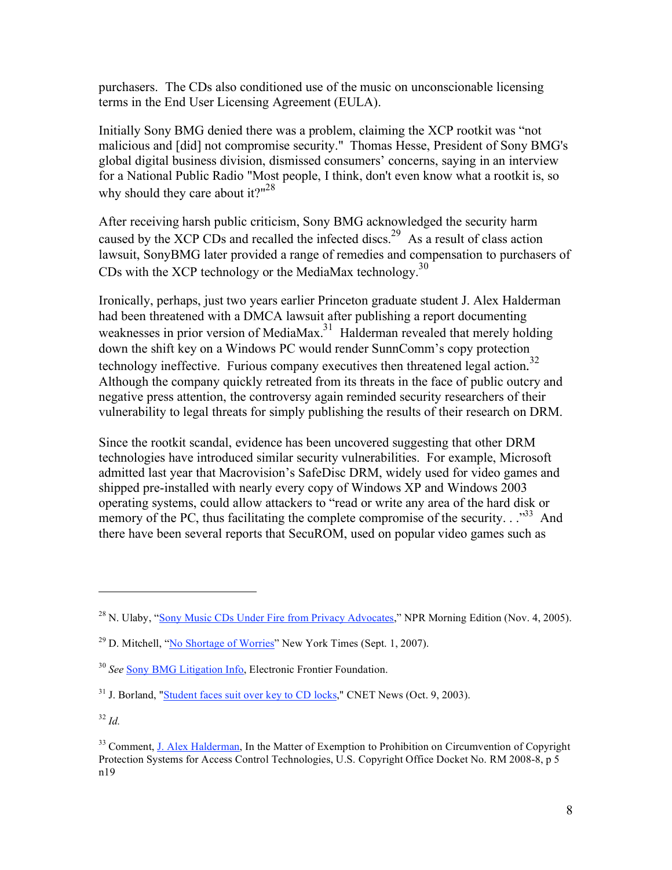purchasers. The CDs also conditioned use of the music on unconscionable licensing terms in the End User Licensing Agreement (EULA).

Initially Sony BMG denied there was a problem, claiming the XCP rootkit was "not malicious and [did] not compromise security." Thomas Hesse, President of Sony BMG's global digital business division, dismissed consumers' concerns, saying in an interview for a National Public Radio "Most people, I think, don't even know what a rootkit is, so why should they care about it?" $28$ 

After receiving harsh public criticism, Sony BMG acknowledged the security harm caused by the XCP CDs and recalled the infected discs.<sup>29</sup> As a result of class action lawsuit, SonyBMG later provided a range of remedies and compensation to purchasers of CDs with the XCP technology or the MediaMax technology.<sup>30</sup>

Ironically, perhaps, just two years earlier Princeton graduate student J. Alex Halderman had been threatened with a DMCA lawsuit after publishing a report documenting weaknesses in prior version of MediaMax.<sup>31</sup> Halderman revealed that merely holding down the shift key on a Windows PC would render SunnComm's copy protection technology ineffective. Furious company executives then threatened legal action. 32 Although the company quickly retreated from its threats in the face of public outcry and negative press attention, the controversy again reminded security researchers of their vulnerability to legal threats for simply publishing the results of their research on DRM.

Since the rootkit scandal, evidence has been uncovered suggesting that other DRM technologies have introduced similar security vulnerabilities. For example, Microsoft admitted last year that Macrovision's SafeDisc DRM, widely used for video games and shipped pre-installed with nearly every copy of Windows XP and Windows 2003 operating systems, could allow attackers to "read or write any area of the hard disk or memory of the PC, thus facilitating the complete compromise of the security.  $\cdot$ <sup>33</sup> And there have been several reports that SecuROM, used on popular video games such as

<sup>&</sup>lt;sup>28</sup> N. Ulaby, "Sony Music CDs Under Fire from Privacy Advocates," NPR Morning Edition (Nov. 4, 2005).

 $^{29}$  D. Mitchell, "No Shortage of Worries" New York Times (Sept. 1, 2007).

<sup>30</sup> *See* Sony BMG Litigation Info, Electronic Frontier Foundation.

 $31$  J. Borland, "Student faces suit over key to CD locks," CNET News (Oct. 9, 2003).

<sup>32</sup> *Id.*

<sup>&</sup>lt;sup>33</sup> Comment, J. Alex Halderman, In the Matter of Exemption to Prohibition on Circumvention of Copyright Protection Systems for Access Control Technologies, U.S. Copyright Office Docket No. RM 2008-8, p 5 n19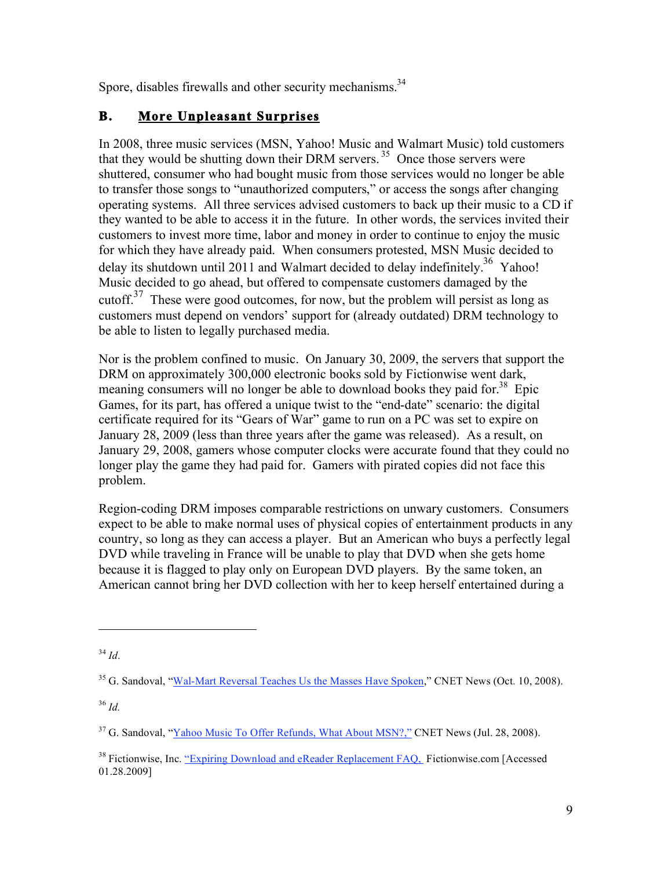Spore, disables firewalls and other security mechanisms.<sup>34</sup>

## **B. More Unpleasant Surprises**

In 2008, three music services (MSN, Yahoo! Music and Walmart Music) told customers that they would be shutting down their DRM servers.<sup>35</sup> Once those servers were shuttered, consumer who had bought music from those services would no longer be able to transfer those songs to "unauthorized computers," or access the songs after changing operating systems. All three services advised customers to back up their music to a CD if they wanted to be able to access it in the future. In other words, the services invited their customers to invest more time, labor and money in order to continue to enjoy the music for which they have already paid. When consumers protested, MSN Music decided to delay its shutdown until 2011 and Walmart decided to delay indefinitely.<sup>36</sup> Yahoo! Music decided to go ahead, but offered to compensate customers damaged by the cutoff. $37$  These were good outcomes, for now, but the problem will persist as long as customers must depend on vendors' support for (already outdated) DRM technology to be able to listen to legally purchased media.

Nor is the problem confined to music. On January 30, 2009, the servers that support the DRM on approximately 300,000 electronic books sold by Fictionwise went dark, meaning consumers will no longer be able to download books they paid for.<sup>38</sup> Epic Games, for its part, has offered a unique twist to the "end-date" scenario: the digital certificate required for its "Gears of War" game to run on a PC was set to expire on January 28, 2009 (less than three years after the game was released). As a result, on January 29, 2008, gamers whose computer clocks were accurate found that they could no longer play the game they had paid for. Gamers with pirated copies did not face this problem.

Region-coding DRM imposes comparable restrictions on unwary customers. Consumers expect to be able to make normal uses of physical copies of entertainment products in any country, so long as they can access a player. But an American who buys a perfectly legal DVD while traveling in France will be unable to play that DVD when she gets home because it is flagged to play only on European DVD players. By the same token, an American cannot bring her DVD collection with her to keep herself entertained during a

 $\overline{a}$ 

<sup>36</sup> *Id.*

<sup>34</sup> *Id*.

<sup>&</sup>lt;sup>35</sup> G. Sandoval, "Wal-Mart Reversal Teaches Us the Masses Have Spoken," CNET News (Oct. 10, 2008).

<sup>&</sup>lt;sup>37</sup> G. Sandoval, "Yahoo Music To Offer Refunds, What About MSN?," CNET News (Jul. 28, 2008).

<sup>&</sup>lt;sup>38</sup> Fictionwise, Inc. "Expiring Download and eReader Replacement FAQ, Fictionwise.com [Accessed] 01.28.2009]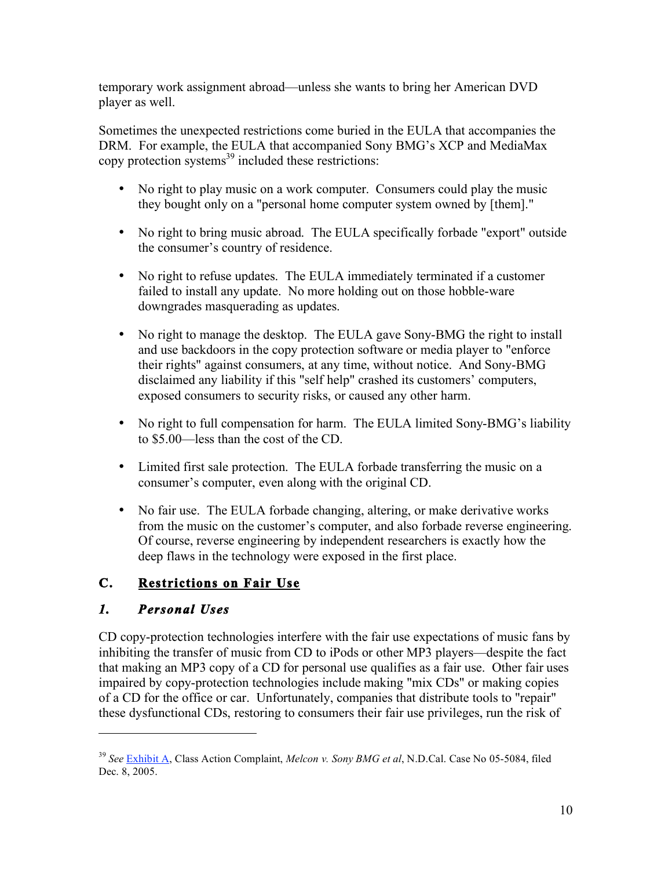temporary work assignment abroad—unless she wants to bring her American DVD player as well.

Sometimes the unexpected restrictions come buried in the EULA that accompanies the DRM. For example, the EULA that accompanied Sony BMG's XCP and MediaMax copy protection systems $^{39}$  included these restrictions:

- No right to play music on a work computer. Consumers could play the music they bought only on a "personal home computer system owned by [them]."
- No right to bring music abroad. The EULA specifically forbade "export" outside the consumer's country of residence.
- No right to refuse updates. The EULA immediately terminated if a customer failed to install any update. No more holding out on those hobble-ware downgrades masquerading as updates.
- No right to manage the desktop. The EULA gave Sony-BMG the right to install and use backdoors in the copy protection software or media player to "enforce their rights" against consumers, at any time, without notice. And Sony-BMG disclaimed any liability if this "self help" crashed its customers' computers, exposed consumers to security risks, or caused any other harm.
- No right to full compensation for harm. The EULA limited Sony-BMG's liability to \$5.00—less than the cost of the CD.
- Limited first sale protection. The EULA forbade transferring the music on a consumer's computer, even along with the original CD.
- No fair use. The EULA forbade changing, altering, or make derivative works from the music on the customer's computer, and also forbade reverse engineering. Of course, reverse engineering by independent researchers is exactly how the deep flaws in the technology were exposed in the first place.

### **C. Restrictions on Fair Use**

### *1. Personal Uses*

 $\overline{a}$ 

CD copy-protection technologies interfere with the fair use expectations of music fans by inhibiting the transfer of music from CD to iPods or other MP3 players—despite the fact that making an MP3 copy of a CD for personal use qualifies as a fair use. Other fair uses impaired by copy-protection technologies include making "mix CDs" or making copies of a CD for the office or car. Unfortunately, companies that distribute tools to "repair" these dysfunctional CDs, restoring to consumers their fair use privileges, run the risk of

<sup>39</sup> *See* Exhibit A, Class Action Complaint, *Melcon v. Sony BMG et al*, N.D.Cal. Case No 05-5084, filed Dec. 8, 2005.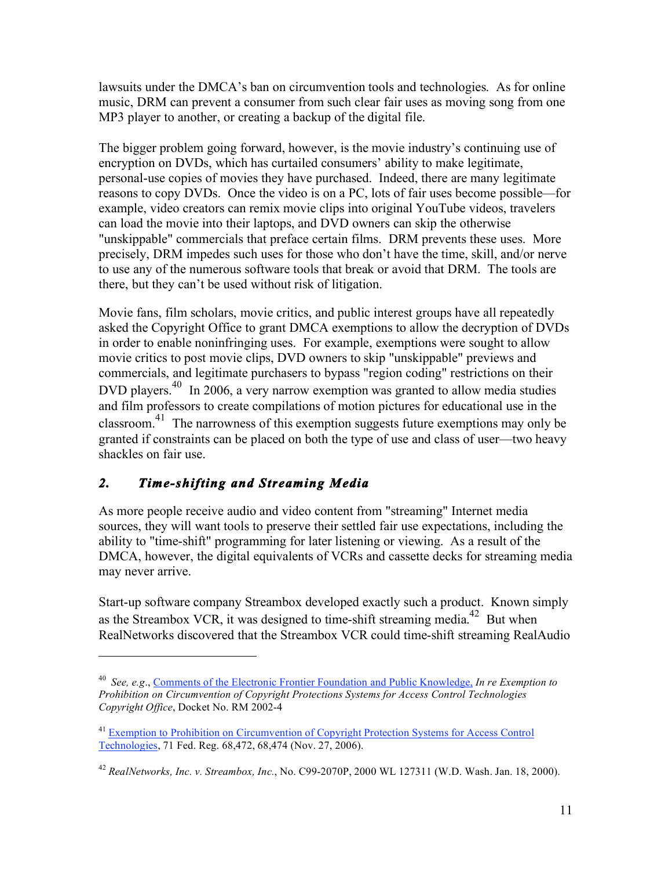lawsuits under the DMCA's ban on circumvention tools and technologies. As for online music, DRM can prevent a consumer from such clear fair uses as moving song from one MP3 player to another, or creating a backup of the digital file.

The bigger problem going forward, however, is the movie industry's continuing use of encryption on DVDs, which has curtailed consumers' ability to make legitimate, personal-use copies of movies they have purchased. Indeed, there are many legitimate reasons to copy DVDs. Once the video is on a PC, lots of fair uses become possible—for example, video creators can remix movie clips into original YouTube videos, travelers can load the movie into their laptops, and DVD owners can skip the otherwise "unskippable" commercials that preface certain films. DRM prevents these uses. More precisely, DRM impedes such uses for those who don't have the time, skill, and/or nerve to use any of the numerous software tools that break or avoid that DRM. The tools are there, but they can't be used without risk of litigation.

Movie fans, film scholars, movie critics, and public interest groups have all repeatedly asked the Copyright Office to grant DMCA exemptions to allow the decryption of DVDs in order to enable noninfringing uses. For example, exemptions were sought to allow movie critics to post movie clips, DVD owners to skip "unskippable" previews and commercials, and legitimate purchasers to bypass "region coding" restrictions on their DVD players.<sup>40</sup> In 2006, a very narrow exemption was granted to allow media studies and film professors to create compilations of motion pictures for educational use in the classroom.41 The narrowness of this exemption suggests future exemptions may only be granted if constraints can be placed on both the type of use and class of user—two heavy shackles on fair use.

# *2. Time-shifting and Streaming Media*

 $\overline{a}$ 

As more people receive audio and video content from "streaming" Internet media sources, they will want tools to preserve their settled fair use expectations, including the ability to "time-shift" programming for later listening or viewing. As a result of the DMCA, however, the digital equivalents of VCRs and cassette decks for streaming media may never arrive.

Start-up software company Streambox developed exactly such a product. Known simply as the Streambox VCR, it was designed to time-shift streaming media.<sup>42</sup> But when RealNetworks discovered that the Streambox VCR could time-shift streaming RealAudio

<sup>40</sup> *See, e.g*., Comments of the Electronic Frontier Foundation and Public Knowledge, *In re Exemption to Prohibition on Circumvention of Copyright Protections Systems for Access Control Technologies Copyright Office*, Docket No. RM 2002-4

<sup>&</sup>lt;sup>41</sup> Exemption to Prohibition on Circumvention of Copyright Protection Systems for Access Control Technologies, 71 Fed. Reg. 68,472, 68,474 (Nov. 27, 2006).

<sup>42</sup> *RealNetworks, Inc. v. Streambox, Inc.*, No. C99-2070P, 2000 WL 127311 (W.D. Wash. Jan. 18, 2000).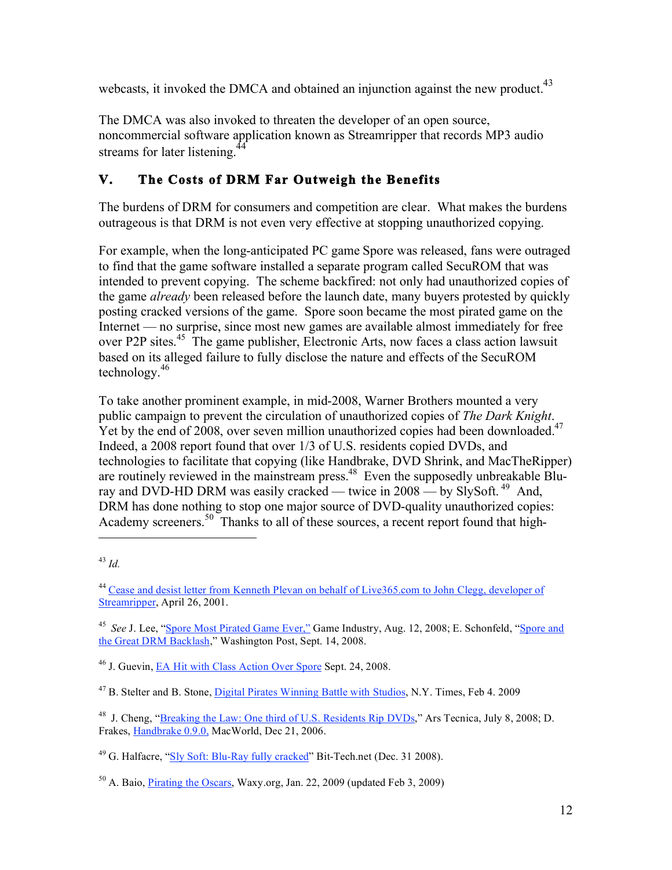webcasts, it invoked the DMCA and obtained an injunction against the new product.<sup>43</sup>

The DMCA was also invoked to threaten the developer of an open source, noncommercial software application known as Streamripper that records MP3 audio streams for later listening.<sup>4</sup>

## **V. The Costs of DRM Far Outweigh the Benefits**

The burdens of DRM for consumers and competition are clear. What makes the burdens outrageous is that DRM is not even very effective at stopping unauthorized copying.

For example, when the long-anticipated PC game Spore was released, fans were outraged to find that the game software installed a separate program called SecuROM that was intended to prevent copying. The scheme backfired: not only had unauthorized copies of the game *already* been released before the launch date, many buyers protested by quickly posting cracked versions of the game. Spore soon became the most pirated game on the Internet — no surprise, since most new games are available almost immediately for free over P2P sites.<sup>45</sup> The game publisher, Electronic Arts, now faces a class action lawsuit based on its alleged failure to fully disclose the nature and effects of the SecuROM technology.<sup>46</sup>

To take another prominent example, in mid-2008, Warner Brothers mounted a very public campaign to prevent the circulation of unauthorized copies of *The Dark Knight*. Yet by the end of 2008, over seven million unauthorized copies had been downloaded.<sup>47</sup> Indeed, a 2008 report found that over 1/3 of U.S. residents copied DVDs, and technologies to facilitate that copying (like Handbrake, DVD Shrink, and MacTheRipper) are routinely reviewed in the mainstream press.<sup>48</sup> Even the supposedly unbreakable Bluray and DVD-HD DRM was easily cracked — twice in  $2008 -$  by SlySoft.<sup>49</sup> And, DRM has done nothing to stop one major source of DVD-quality unauthorized copies: Academy screeners.<sup>50</sup> Thanks to all of these sources, a recent report found that high- $\overline{a}$ 

46 J. Guevin, EA Hit with Class Action Over Spore Sept. 24, 2008.

<sup>47</sup> B. Stelter and B. Stone, Digital Pirates Winning Battle with Studios, N.Y. Times, Feb 4, 2009

<sup>48</sup> J. Cheng, "Breaking the Law: One third of U.S. Residents Rip DVDs," Ars Tecnica, July 8, 2008; D. Frakes, Handbrake 0.9.0, MacWorld, Dec 21, 2006.

<sup>49</sup> G. Halfacre, "Sly Soft: Blu-Ray fully cracked" Bit-Tech.net (Dec. 31 2008).

50 A. Baio, Pirating the Oscars, Waxy.org, Jan. 22, 2009 (updated Feb 3, 2009)

<sup>43</sup> *Id.* 

<sup>44</sup> Cease and desist letter from Kenneth Plevan on behalf of Live365.com to John Clegg, developer of Streamripper, April 26, 2001.

<sup>&</sup>lt;sup>45</sup> *See* J. Lee, "Spore Most Pirated Game Ever," Game Industry, Aug. 12, 2008; E. Schonfeld, "Spore and the Great DRM Backlash," Washington Post, Sept. 14, 2008.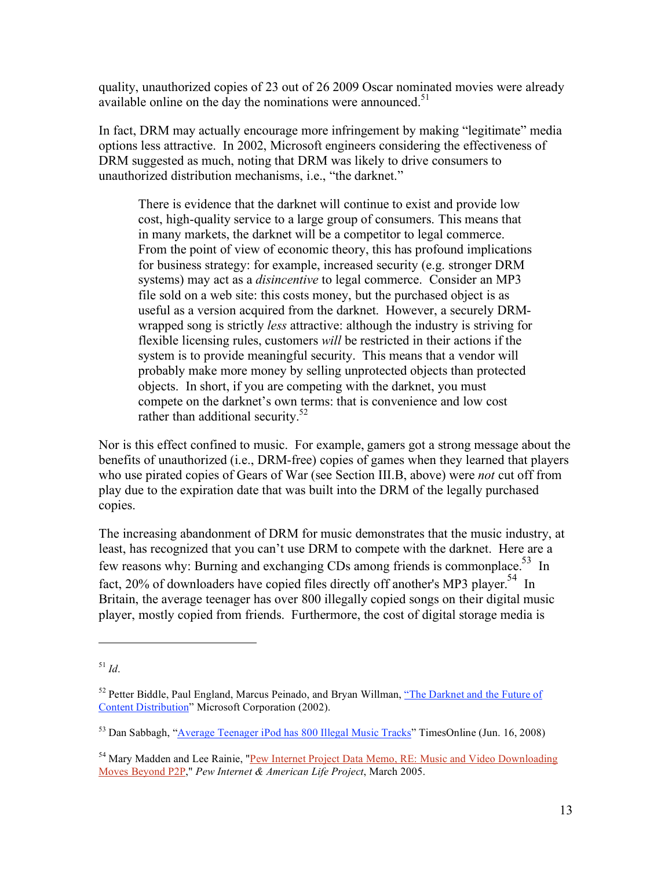quality, unauthorized copies of 23 out of 26 2009 Oscar nominated movies were already available online on the day the nominations were announced.<sup>51</sup>

In fact, DRM may actually encourage more infringement by making "legitimate" media options less attractive. In 2002, Microsoft engineers considering the effectiveness of DRM suggested as much, noting that DRM was likely to drive consumers to unauthorized distribution mechanisms, i.e., "the darknet."

There is evidence that the darknet will continue to exist and provide low cost, high-quality service to a large group of consumers. This means that in many markets, the darknet will be a competitor to legal commerce. From the point of view of economic theory, this has profound implications for business strategy: for example, increased security (e.g. stronger DRM systems) may act as a *disincentive* to legal commerce. Consider an MP3 file sold on a web site: this costs money, but the purchased object is as useful as a version acquired from the darknet. However, a securely DRMwrapped song is strictly *less* attractive: although the industry is striving for flexible licensing rules, customers *will* be restricted in their actions if the system is to provide meaningful security. This means that a vendor will probably make more money by selling unprotected objects than protected objects. In short, if you are competing with the darknet, you must compete on the darknet's own terms: that is convenience and low cost rather than additional security.<sup>52</sup>

Nor is this effect confined to music. For example, gamers got a strong message about the benefits of unauthorized (i.e., DRM-free) copies of games when they learned that players who use pirated copies of Gears of War (see Section III.B, above) were *not* cut off from play due to the expiration date that was built into the DRM of the legally purchased copies.

The increasing abandonment of DRM for music demonstrates that the music industry, at least, has recognized that you can't use DRM to compete with the darknet. Here are a few reasons why: Burning and exchanging CDs among friends is commonplace.<sup>53</sup> In fact, 20% of downloaders have copied files directly off another's MP3 player.<sup>54</sup> In Britain, the average teenager has over 800 illegally copied songs on their digital music player, mostly copied from friends. Furthermore, the cost of digital storage media is

<sup>51</sup> *Id*.

 $52$  Petter Biddle, Paul England, Marcus Peinado, and Bryan Willman, "The Darknet and the Future of Content Distribution" Microsoft Corporation (2002).

<sup>&</sup>lt;sup>53</sup> Dan Sabbagh, "Average Teenager iPod has 800 Illegal Music Tracks" TimesOnline (Jun. 16, 2008)

<sup>&</sup>lt;sup>54</sup> Mary Madden and Lee Rainie, "Pew Internet Project Data Memo, RE: Music and Video Downloading Moves Beyond P2P," *Pew Internet & American Life Project*, March 2005.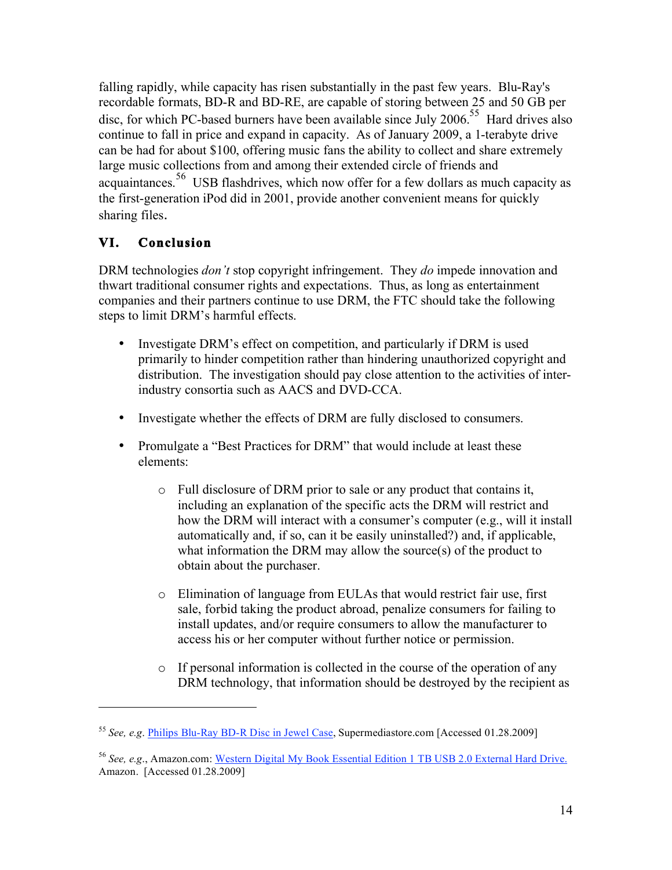falling rapidly, while capacity has risen substantially in the past few years. Blu-Ray's recordable formats, BD-R and BD-RE, are capable of storing between 25 and 50 GB per disc, for which PC-based burners have been available since July  $2006$ .<sup>55</sup> Hard drives also continue to fall in price and expand in capacity. As of January 2009, a 1-terabyte drive can be had for about \$100, offering music fans the ability to collect and share extremely large music collections from and among their extended circle of friends and acquaintances.<sup>56</sup> USB flashdrives, which now offer for a few dollars as much capacity as the first-generation iPod did in 2001, provide another convenient means for quickly sharing files.

## **VI. Conclusion**

 $\overline{a}$ 

DRM technologies *don't* stop copyright infringement. They *do* impede innovation and thwart traditional consumer rights and expectations. Thus, as long as entertainment companies and their partners continue to use DRM, the FTC should take the following steps to limit DRM's harmful effects.

- Investigate DRM's effect on competition, and particularly if DRM is used primarily to hinder competition rather than hindering unauthorized copyright and distribution. The investigation should pay close attention to the activities of interindustry consortia such as AACS and DVD-CCA.
- Investigate whether the effects of DRM are fully disclosed to consumers.
- Promulgate a "Best Practices for DRM" that would include at least these elements:
	- o Full disclosure of DRM prior to sale or any product that contains it, including an explanation of the specific acts the DRM will restrict and how the DRM will interact with a consumer's computer (e.g., will it install automatically and, if so, can it be easily uninstalled?) and, if applicable, what information the DRM may allow the source(s) of the product to obtain about the purchaser.
	- o Elimination of language from EULAs that would restrict fair use, first sale, forbid taking the product abroad, penalize consumers for failing to install updates, and/or require consumers to allow the manufacturer to access his or her computer without further notice or permission.
	- o If personal information is collected in the course of the operation of any DRM technology, that information should be destroyed by the recipient as

<sup>55</sup> *See, e.g*. Philips Blu-Ray BD-R Disc in Jewel Case, Supermediastore.com [Accessed 01.28.2009]

<sup>56</sup> *See, e.g*., Amazon.com: Western Digital My Book Essential Edition 1 TB USB 2.0 External Hard Drive. Amazon. [Accessed 01.28.2009]